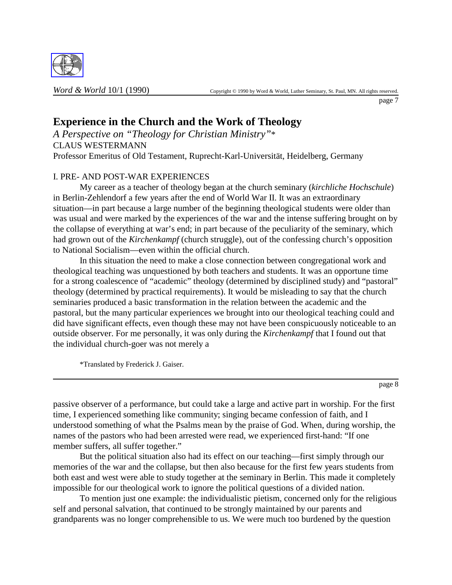

page 7

# **Experience in the Church and the Work of Theology**

*A Perspective on "Theology for Christian Ministry"*\* CLAUS WESTERMANN Professor Emeritus of Old Testament, Ruprecht-Karl-Universität, Heidelberg, Germany

## I. PRE- AND POST-WAR EXPERIENCES

My career as a teacher of theology began at the church seminary (*kirchliche Hochschule*) in Berlin-Zehlendorf a few years after the end of World War II. It was an extraordinary situation—in part because a large number of the beginning theological students were older than was usual and were marked by the experiences of the war and the intense suffering brought on by the collapse of everything at war's end; in part because of the peculiarity of the seminary, which had grown out of the *Kirchenkampf* (church struggle), out of the confessing church's opposition to National Socialism—even within the official church.

In this situation the need to make a close connection between congregational work and theological teaching was unquestioned by both teachers and students. It was an opportune time for a strong coalescence of "academic" theology (determined by disciplined study) and "pastoral" theology (determined by practical requirements). It would be misleading to say that the church seminaries produced a basic transformation in the relation between the academic and the pastoral, but the many particular experiences we brought into our theological teaching could and did have significant effects, even though these may not have been conspicuously noticeable to an outside observer. For me personally, it was only during the *Kirchenkampf* that I found out that the individual church-goer was not merely a

\*Translated by Frederick J. Gaiser.

page 8

passive observer of a performance, but could take a large and active part in worship. For the first time, I experienced something like community; singing became confession of faith, and I understood something of what the Psalms mean by the praise of God. When, during worship, the names of the pastors who had been arrested were read, we experienced first-hand: "If one member suffers, all suffer together."

But the political situation also had its effect on our teaching—first simply through our memories of the war and the collapse, but then also because for the first few years students from both east and west were able to study together at the seminary in Berlin. This made it completely impossible for our theological work to ignore the political questions of a divided nation.

To mention just one example: the individualistic pietism, concerned only for the religious self and personal salvation, that continued to be strongly maintained by our parents and grandparents was no longer comprehensible to us. We were much too burdened by the question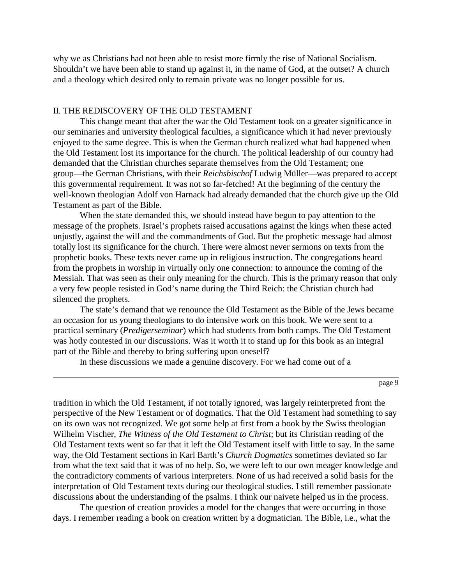why we as Christians had not been able to resist more firmly the rise of National Socialism. Shouldn't we have been able to stand up against it, in the name of God, at the outset? A church and a theology which desired only to remain private was no longer possible for us.

### II. THE REDISCOVERY OF THE OLD TESTAMENT

This change meant that after the war the Old Testament took on a greater significance in our seminaries and university theological faculties, a significance which it had never previously enjoyed to the same degree. This is when the German church realized what had happened when the Old Testament lost its importance for the church. The political leadership of our country had demanded that the Christian churches separate themselves from the Old Testament; one group—the German Christians, with their *Reichsbischof* Ludwig Müller—was prepared to accept this governmental requirement. It was not so far-fetched! At the beginning of the century the well-known theologian Adolf von Harnack had already demanded that the church give up the Old Testament as part of the Bible.

When the state demanded this, we should instead have begun to pay attention to the message of the prophets. Israel's prophets raised accusations against the kings when these acted unjustly, against the will and the commandments of God. But the prophetic message had almost totally lost its significance for the church. There were almost never sermons on texts from the prophetic books. These texts never came up in religious instruction. The congregations heard from the prophets in worship in virtually only one connection: to announce the coming of the Messiah. That was seen as their only meaning for the church. This is the primary reason that only a very few people resisted in God's name during the Third Reich: the Christian church had silenced the prophets.

The state's demand that we renounce the Old Testament as the Bible of the Jews became an occasion for us young theologians to do intensive work on this book. We were sent to a practical seminary (*Predigerseminar*) which had students from both camps. The Old Testament was hotly contested in our discussions. Was it worth it to stand up for this book as an integral part of the Bible and thereby to bring suffering upon oneself?

In these discussions we made a genuine discovery. For we had come out of a

page 9

tradition in which the Old Testament, if not totally ignored, was largely reinterpreted from the perspective of the New Testament or of dogmatics. That the Old Testament had something to say on its own was not recognized. We got some help at first from a book by the Swiss theologian Wilhelm Vischer, *The Witness of the Old Testament to Christ*; but its Christian reading of the Old Testament texts went so far that it left the Old Testament itself with little to say. In the same way, the Old Testament sections in Karl Barth's *Church Dogmatics* sometimes deviated so far from what the text said that it was of no help. So, we were left to our own meager knowledge and the contradictory comments of various interpreters. None of us had received a solid basis for the interpretation of Old Testament texts during our theological studies. I still remember passionate discussions about the understanding of the psalms. I think our naivete helped us in the process.

The question of creation provides a model for the changes that were occurring in those days. I remember reading a book on creation written by a dogmatician. The Bible, i.e., what the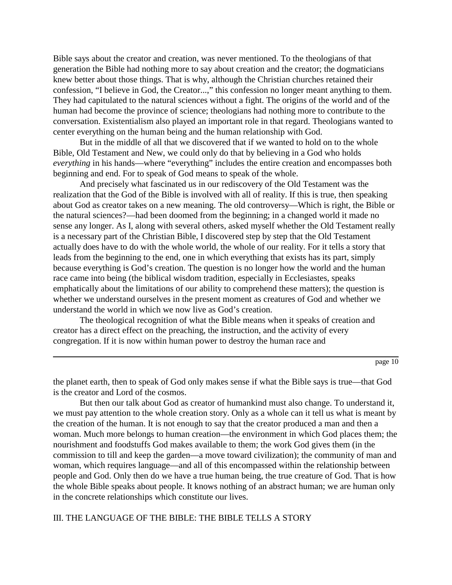Bible says about the creator and creation, was never mentioned. To the theologians of that generation the Bible had nothing more to say about creation and the creator; the dogmaticians knew better about those things. That is why, although the Christian churches retained their confession, "I believe in God, the Creator...," this confession no longer meant anything to them. They had capitulated to the natural sciences without a fight. The origins of the world and of the human had become the province of science; theologians had nothing more to contribute to the conversation. Existentialism also played an important role in that regard. Theologians wanted to center everything on the human being and the human relationship with God.

But in the middle of all that we discovered that if we wanted to hold on to the whole Bible, Old Testament and New, we could only do that by believing in a God who holds *everything* in his hands—where "everything" includes the entire creation and encompasses both beginning and end. For to speak of God means to speak of the whole.

And precisely what fascinated us in our rediscovery of the Old Testament was the realization that the God of the Bible is involved with all of reality. If this is true, then speaking about God as creator takes on a new meaning. The old controversy—Which is right, the Bible or the natural sciences?—had been doomed from the beginning; in a changed world it made no sense any longer. As I, along with several others, asked myself whether the Old Testament really is a necessary part of the Christian Bible, I discovered step by step that the Old Testament actually does have to do with the whole world, the whole of our reality. For it tells a story that leads from the beginning to the end, one in which everything that exists has its part, simply because everything is God's creation. The question is no longer how the world and the human race came into being (the biblical wisdom tradition, especially in Ecclesiastes, speaks emphatically about the limitations of our ability to comprehend these matters); the question is whether we understand ourselves in the present moment as creatures of God and whether we understand the world in which we now live as God's creation.

The theological recognition of what the Bible means when it speaks of creation and creator has a direct effect on the preaching, the instruction, and the activity of every congregation. If it is now within human power to destroy the human race and

page 10

the planet earth, then to speak of God only makes sense if what the Bible says is true—that God is the creator and Lord of the cosmos.

But then our talk about God as creator of humankind must also change. To understand it, we must pay attention to the whole creation story. Only as a whole can it tell us what is meant by the creation of the human. It is not enough to say that the creator produced a man and then a woman. Much more belongs to human creation—the environment in which God places them; the nourishment and foodstuffs God makes available to them; the work God gives them (in the commission to till and keep the garden—a move toward civilization); the community of man and woman, which requires language—and all of this encompassed within the relationship between people and God. Only then do we have a true human being, the true creature of God. That is how the whole Bible speaks about people. It knows nothing of an abstract human; we are human only in the concrete relationships which constitute our lives.

III. THE LANGUAGE OF THE BIBLE: THE BIBLE TELLS A STORY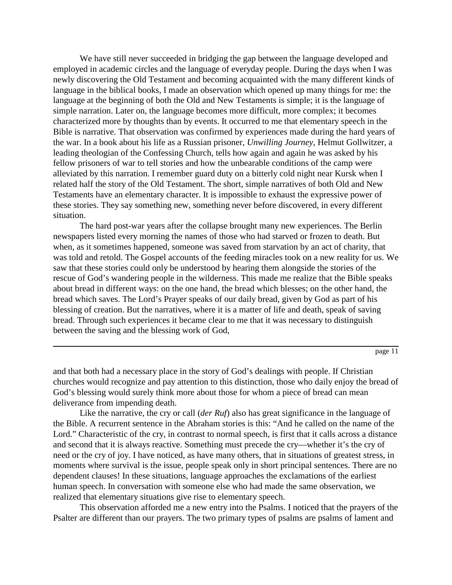We have still never succeeded in bridging the gap between the language developed and employed in academic circles and the language of everyday people. During the days when I was newly discovering the Old Testament and becoming acquainted with the many different kinds of language in the biblical books, I made an observation which opened up many things for me: the language at the beginning of both the Old and New Testaments is simple; it is the language of simple narration. Later on, the language becomes more difficult, more complex; it becomes characterized more by thoughts than by events. It occurred to me that elementary speech in the Bible is narrative. That observation was confirmed by experiences made during the hard years of the war. In a book about his life as a Russian prisoner, *Unwilling Journey*, Helmut Gollwitzer, a leading theologian of the Confessing Church, tells how again and again he was asked by his fellow prisoners of war to tell stories and how the unbearable conditions of the camp were alleviated by this narration. I remember guard duty on a bitterly cold night near Kursk when I related half the story of the Old Testament. The short, simple narratives of both Old and New Testaments have an elementary character. It is impossible to exhaust the expressive power of these stories. They say something new, something never before discovered, in every different situation.

The hard post-war years after the collapse brought many new experiences. The Berlin newspapers listed every morning the names of those who had starved or frozen to death. But when, as it sometimes happened, someone was saved from starvation by an act of charity, that was told and retold. The Gospel accounts of the feeding miracles took on a new reality for us. We saw that these stories could only be understood by hearing them alongside the stories of the rescue of God's wandering people in the wilderness. This made me realize that the Bible speaks about bread in different ways: on the one hand, the bread which blesses; on the other hand, the bread which saves. The Lord's Prayer speaks of our daily bread, given by God as part of his blessing of creation. But the narratives, where it is a matter of life and death, speak of saving bread. Through such experiences it became clear to me that it was necessary to distinguish between the saving and the blessing work of God,

page 11

and that both had a necessary place in the story of God's dealings with people. If Christian churches would recognize and pay attention to this distinction, those who daily enjoy the bread of God's blessing would surely think more about those for whom a piece of bread can mean deliverance from impending death.

Like the narrative, the cry or call (*der Ruf*) also has great significance in the language of the Bible. A recurrent sentence in the Abraham stories is this: "And he called on the name of the Lord." Characteristic of the cry, in contrast to normal speech, is first that it calls across a distance and second that it is always reactive. Something must precede the cry—whether it's the cry of need or the cry of joy. I have noticed, as have many others, that in situations of greatest stress, in moments where survival is the issue, people speak only in short principal sentences. There are no dependent clauses! In these situations, language approaches the exclamations of the earliest human speech. In conversation with someone else who had made the same observation, we realized that elementary situations give rise to elementary speech.

This observation afforded me a new entry into the Psalms. I noticed that the prayers of the Psalter are different than our prayers. The two primary types of psalms are psalms of lament and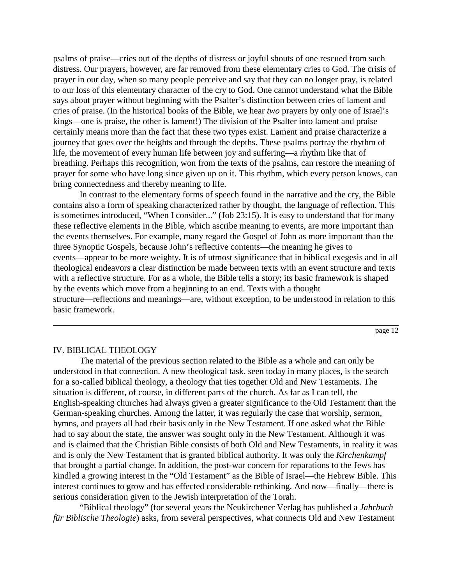psalms of praise—cries out of the depths of distress or joyful shouts of one rescued from such distress. Our prayers, however, are far removed from these elementary cries to God. The crisis of prayer in our day, when so many people perceive and say that they can no longer pray, is related to our loss of this elementary character of the cry to God. One cannot understand what the Bible says about prayer without beginning with the Psalter's distinction between cries of lament and cries of praise. (In the historical books of the Bible, we hear *two* prayers by only one of Israel's kings—one is praise, the other is lament!) The division of the Psalter into lament and praise certainly means more than the fact that these two types exist. Lament and praise characterize a journey that goes over the heights and through the depths. These psalms portray the rhythm of life, the movement of every human life between joy and suffering—a rhythm like that of breathing. Perhaps this recognition, won from the texts of the psalms, can restore the meaning of prayer for some who have long since given up on it. This rhythm, which every person knows, can bring connectedness and thereby meaning to life.

In contrast to the elementary forms of speech found in the narrative and the cry, the Bible contains also a form of speaking characterized rather by thought, the language of reflection. This is sometimes introduced, "When I consider..." (Job 23:15). It is easy to understand that for many these reflective elements in the Bible, which ascribe meaning to events, are more important than the events themselves. For example, many regard the Gospel of John as more important than the three Synoptic Gospels, because John's reflective contents—the meaning he gives to events—appear to be more weighty. It is of utmost significance that in biblical exegesis and in all theological endeavors a clear distinction be made between texts with an event structure and texts with a reflective structure. For as a whole, the Bible tells a story; its basic framework is shaped by the events which move from a beginning to an end. Texts with a thought structure—reflections and meanings—are, without exception, to be understood in relation to this basic framework.

page 12

#### IV. BIBLICAL THEOLOGY

The material of the previous section related to the Bible as a whole and can only be understood in that connection. A new theological task, seen today in many places, is the search for a so-called biblical theology, a theology that ties together Old and New Testaments. The situation is different, of course, in different parts of the church. As far as I can tell, the English-speaking churches had always given a greater significance to the Old Testament than the German-speaking churches. Among the latter, it was regularly the case that worship, sermon, hymns, and prayers all had their basis only in the New Testament. If one asked what the Bible had to say about the state, the answer was sought only in the New Testament. Although it was and is claimed that the Christian Bible consists of both Old and New Testaments, in reality it was and is only the New Testament that is granted biblical authority. It was only the *Kirchenkampf* that brought a partial change. In addition, the post-war concern for reparations to the Jews has kindled a growing interest in the "Old Testament" as the Bible of Israel—the Hebrew Bible. This interest continues to grow and has effected considerable rethinking. And now—finally—there is serious consideration given to the Jewish interpretation of the Torah.

"Biblical theology" (for several years the Neukirchener Verlag has published a *Jahrbuch für Biblische Theologie*) asks, from several perspectives, what connects Old and New Testament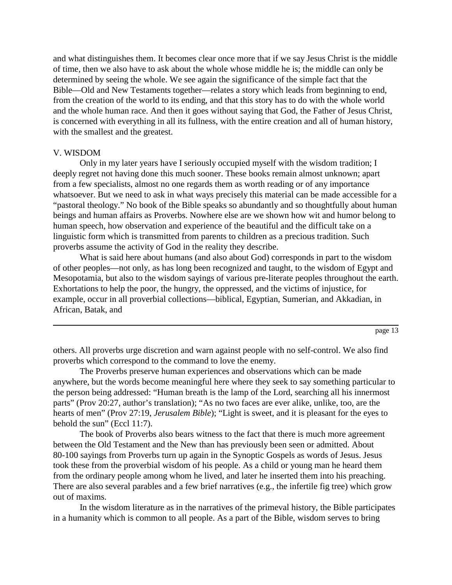and what distinguishes them. It becomes clear once more that if we say Jesus Christ is the middle of time, then we also have to ask about the whole whose middle he is; the middle can only be determined by seeing the whole. We see again the significance of the simple fact that the Bible—Old and New Testaments together—relates a story which leads from beginning to end, from the creation of the world to its ending, and that this story has to do with the whole world and the whole human race. And then it goes without saying that God, the Father of Jesus Christ, is concerned with everything in all its fullness, with the entire creation and all of human history, with the smallest and the greatest.

#### V. WISDOM

Only in my later years have I seriously occupied myself with the wisdom tradition; I deeply regret not having done this much sooner. These books remain almost unknown; apart from a few specialists, almost no one regards them as worth reading or of any importance whatsoever. But we need to ask in what ways precisely this material can be made accessible for a "pastoral theology." No book of the Bible speaks so abundantly and so thoughtfully about human beings and human affairs as Proverbs. Nowhere else are we shown how wit and humor belong to human speech, how observation and experience of the beautiful and the difficult take on a linguistic form which is transmitted from parents to children as a precious tradition. Such proverbs assume the activity of God in the reality they describe.

What is said here about humans (and also about God) corresponds in part to the wisdom of other peoples—not only, as has long been recognized and taught, to the wisdom of Egypt and Mesopotamia, but also to the wisdom sayings of various pre-literate peoples throughout the earth. Exhortations to help the poor, the hungry, the oppressed, and the victims of injustice, for example, occur in all proverbial collections—biblical, Egyptian, Sumerian, and Akkadian, in African, Batak, and

others. All proverbs urge discretion and warn against people with no self-control. We also find proverbs which correspond to the command to love the enemy.

The Proverbs preserve human experiences and observations which can be made anywhere, but the words become meaningful here where they seek to say something particular to the person being addressed: "Human breath is the lamp of the Lord, searching all his innermost parts" (Prov 20:27, author's translation); "As no two faces are ever alike, unlike, too, are the hearts of men" (Prov 27:19, *Jerusalem Bible*); "Light is sweet, and it is pleasant for the eyes to behold the sun" (Eccl 11:7).

The book of Proverbs also bears witness to the fact that there is much more agreement between the Old Testament and the New than has previously been seen or admitted. About 80-100 sayings from Proverbs turn up again in the Synoptic Gospels as words of Jesus. Jesus took these from the proverbial wisdom of his people. As a child or young man he heard them from the ordinary people among whom he lived, and later he inserted them into his preaching. There are also several parables and a few brief narratives (e.g., the infertile fig tree) which grow out of maxims.

In the wisdom literature as in the narratives of the primeval history, the Bible participates in a humanity which is common to all people. As a part of the Bible, wisdom serves to bring